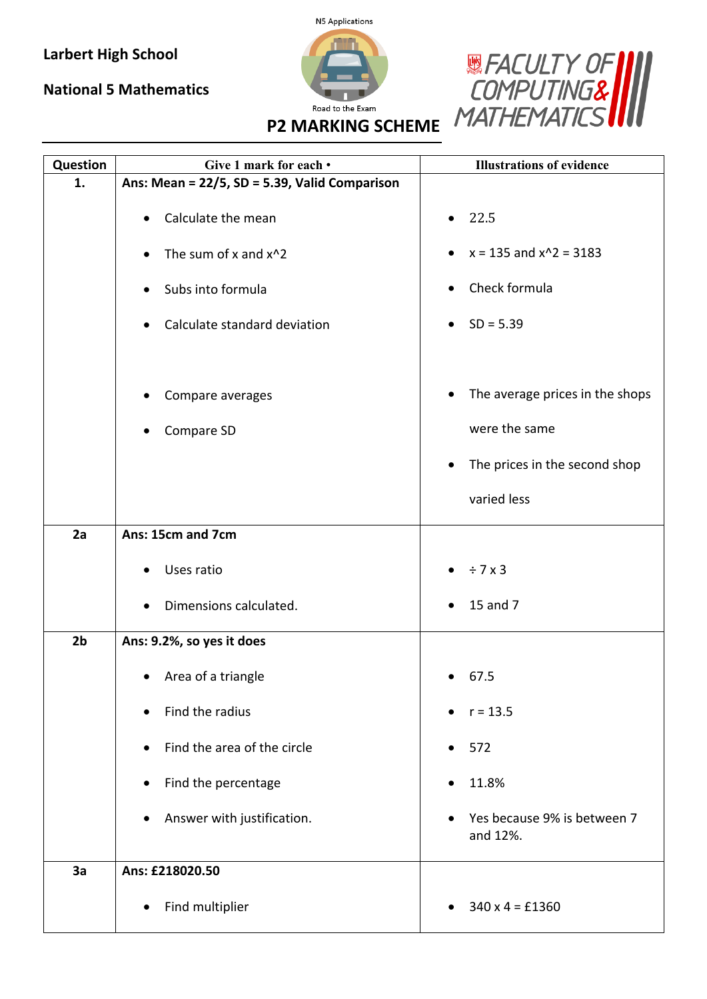## **Larbert High School**

## **National 5 Mathematics**





**P2 MARKING SCHEME**

| Question       | Give 1 mark for each •                        | <b>Illustrations of evidence</b>        |
|----------------|-----------------------------------------------|-----------------------------------------|
| 1.             | Ans: Mean = 22/5, SD = 5.39, Valid Comparison |                                         |
|                | Calculate the mean<br>٠                       | 22.5                                    |
|                | The sum of x and x^2<br>$\bullet$             | $x = 135$ and $x^2 = 3183$              |
|                | Subs into formula<br>$\bullet$                | Check formula                           |
|                | Calculate standard deviation<br>٠             | $SD = 5.39$                             |
|                | Compare averages                              | The average prices in the shops         |
|                | Compare SD                                    | were the same                           |
|                |                                               | The prices in the second shop<br>٠      |
|                |                                               | varied less                             |
| 2a             | Ans: 15cm and 7cm                             |                                         |
|                | Uses ratio                                    | $\bullet$ $\div$ 7 x 3                  |
|                | Dimensions calculated.                        | 15 and 7                                |
| 2 <sub>b</sub> | Ans: 9.2%, so yes it does                     |                                         |
|                | Area of a triangle                            | 67.5                                    |
|                | Find the radius                               | $r = 13.5$                              |
|                | Find the area of the circle<br>$\bullet$      | 572<br>$\bullet$                        |
|                | Find the percentage<br>$\bullet$              | 11.8%                                   |
|                | Answer with justification.<br>$\bullet$       | Yes because 9% is between 7<br>and 12%. |
| 3a             | Ans: £218020.50                               |                                         |
|                | Find multiplier<br>$\bullet$                  | $340 \times 4 = £1360$                  |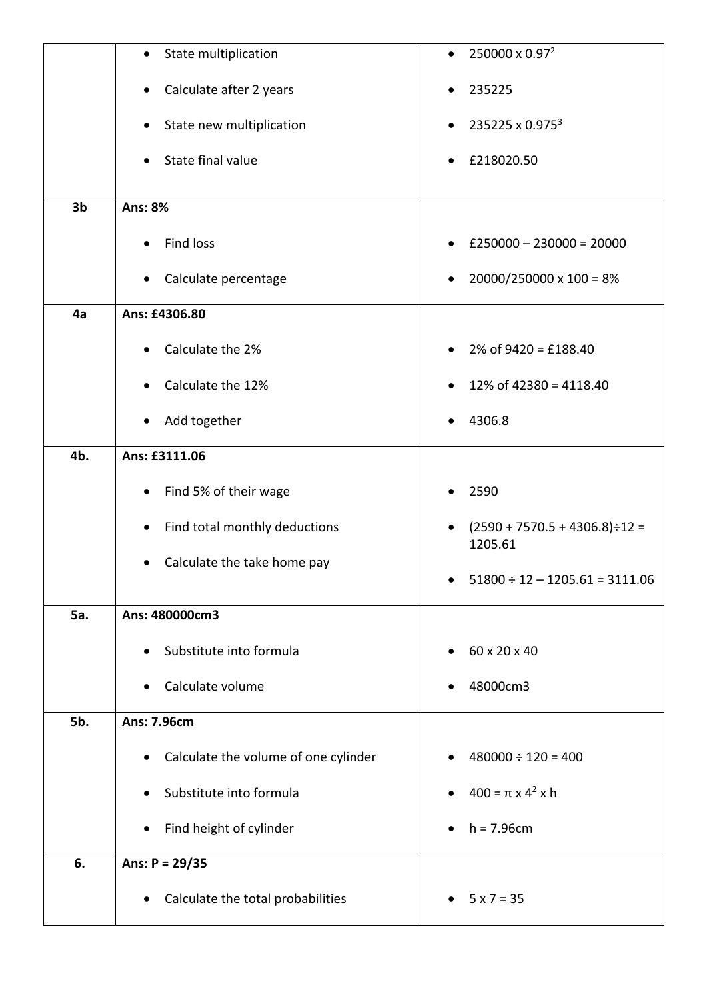|                | State multiplication<br>$\bullet$              | 250000 x 0.97 <sup>2</sup>                                   |
|----------------|------------------------------------------------|--------------------------------------------------------------|
|                | Calculate after 2 years<br>$\bullet$           | 235225                                                       |
|                | State new multiplication                       | 235225 x 0.975 <sup>3</sup>                                  |
|                | State final value<br>$\bullet$                 | £218020.50                                                   |
| 3 <sub>b</sub> | <b>Ans: 8%</b>                                 |                                                              |
|                | Find loss<br>$\bullet$                         | $£250000 - 230000 = 20000$                                   |
|                | Calculate percentage<br>$\bullet$              | $20000/250000 \times 100 = 8\%$                              |
| 4a             | Ans: £4306.80                                  |                                                              |
|                |                                                |                                                              |
|                | Calculate the 2%                               | $2\%$ of 9420 = £188.40                                      |
|                | Calculate the 12%                              | 12% of 42380 = 4118.40                                       |
|                | Add together                                   | 4306.8                                                       |
| 4b.            | Ans: £3111.06                                  |                                                              |
|                | Find 5% of their wage<br>$\bullet$             | 2590                                                         |
|                | Find total monthly deductions<br>$\bullet$     | $(2590 + 7570.5 + 4306.8) \div 12 =$<br>$\bullet$<br>1205.61 |
|                | Calculate the take home pay                    | $51800 \div 12 - 1205.61 = 3111.06$                          |
|                |                                                |                                                              |
| <b>5a.</b>     | Ans: 480000cm3                                 |                                                              |
|                | Substitute into formula<br>$\bullet$           | 60 x 20 x 40<br>$\bullet$                                    |
|                | Calculate volume                               | 48000cm3                                                     |
| 5b.            | Ans: 7.96cm                                    |                                                              |
|                | Calculate the volume of one cylinder           | $480000 \div 120 = 400$                                      |
|                | Substitute into formula                        | $400 = \pi \times 4^2 \times h$                              |
|                | Find height of cylinder<br>$\bullet$           | $h = 7.96cm$                                                 |
| 6.             | Ans: $P = 29/35$                               |                                                              |
|                | Calculate the total probabilities<br>$\bullet$ | $5 x 7 = 35$                                                 |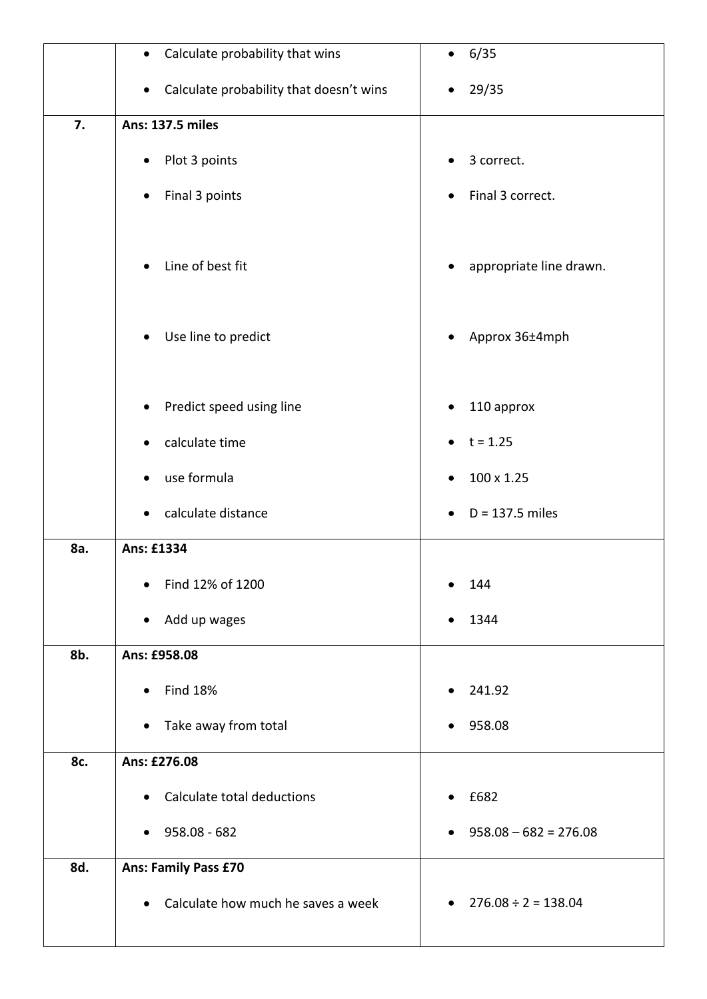|     | Calculate probability that wins<br>$\bullet$    | 6/35<br>$\bullet$                     |
|-----|-------------------------------------------------|---------------------------------------|
|     | Calculate probability that doesn't wins<br>٠    | $\bullet$ 29/35                       |
| 7.  | <b>Ans: 137.5 miles</b>                         |                                       |
|     | Plot 3 points<br>$\bullet$                      | 3 correct.<br>$\bullet$               |
|     | Final 3 points                                  | Final 3 correct.<br>٠                 |
|     | Line of best fit<br>$\bullet$                   | appropriate line drawn.<br>$\bullet$  |
|     | Use line to predict<br>٠                        | Approx 36±4mph<br>$\bullet$           |
|     | Predict speed using line                        | 110 approx                            |
|     | calculate time                                  | $t = 1.25$<br>$\bullet$               |
|     | use formula                                     | 100 x 1.25                            |
|     | calculate distance                              | $D = 137.5$ miles<br>$\bullet$        |
| 8a. | Ans: £1334                                      |                                       |
|     | Find 12% of 1200<br>$\bullet$                   | 144                                   |
|     | Add up wages<br>$\bullet$                       | 1344                                  |
| 8b. | Ans: £958.08                                    |                                       |
|     | <b>Find 18%</b><br>$\bullet$                    | 241.92<br>$\bullet$                   |
|     | Take away from total<br>$\bullet$               | 958.08                                |
| 8c. | Ans: £276.08                                    |                                       |
|     | Calculate total deductions                      | £682<br>$\bullet$                     |
|     | 958.08 - 682<br>$\bullet$                       | $958.08 - 682 = 276.08$<br>$\bullet$  |
| 8d. | <b>Ans: Family Pass £70</b>                     |                                       |
|     | Calculate how much he saves a week<br>$\bullet$ | $276.08 \div 2 = 138.04$<br>$\bullet$ |
|     |                                                 |                                       |